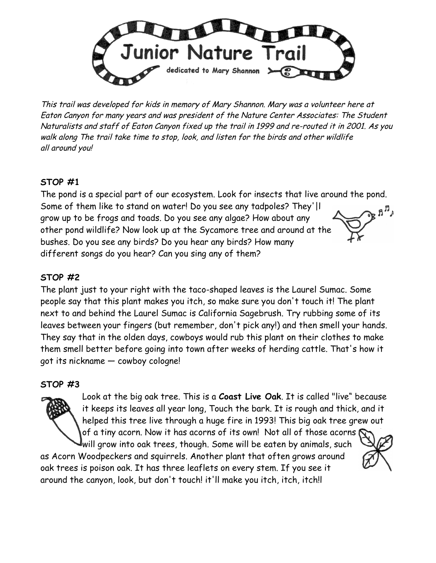

This trail was developed for kids in memory of Mary Shannon. Mary was a volunteer here at Eaton Canyon for many years and was president of the Nature Center Associates: The Student Naturalists and staff of Eaton Canyon fixed up the trail in 1999 and re-routed it in 2001. As you walk along The trail take time to stop, look, and listen for the birds and other wildlife all around you!

# **STOP #1**

The pond is a special part of our ecosystem. Look for insects that live around the pond. Some of them like to stand on water! Do you see any tadpoles? They'|l  $\mathcal{P} \mathbb{R}^{n}$ grow up to be frogs and toads. Do you see any algae? How about any other pond wildlife? Now look up at the Sycamore tree and around at the bushes. Do you see any birds? Do you hear any birds? How many different songs do you hear? Can you sing any of them?

# **STOP #2**

The plant just to your right with the taco-shaped leaves is the Laurel Sumac. Some people say that this plant makes you itch, so make sure you don't touch it! The plant next to and behind the Laurel Sumac is California Sagebrush. Try rubbing some of its leaves between your fingers (but remember, don't pick any!) and then smell your hands. They say that in the olden days, cowboys would rub this plant on their clothes to make them smell better before going into town after weeks of herding cattle. That's how it got its nickname — cowboy cologne!

#### **STOP #3**

Look at the big oak tree. This is a **Coast Live Oak**. It is called "live" because it keeps its leaves all year long, Touch the bark. It is rough and thick, and it helped this tree live through a huge fire in 1993! This big oak tree grew out of a tiny acorn. Now it has acorns of its own! Not all of those acorns  $\bigcap$ 

will grow into oak trees, though. Some will be eaten by animals, such as Acorn Woodpeckers and squirrels. Another plant that often grows around oak trees is poison oak. It has three leaflets on every stem. If you see it around the canyon, look, but don't touch! it'll make you itch, itch, itch!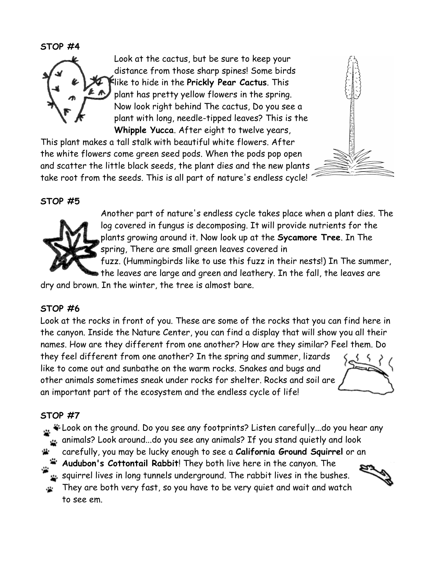**STOP #4**



Look at the cactus, but be sure to keep your distance from those sharp spines! Some birds like to hide in the **Prickly Pear Cactus**. This plant has pretty yellow flowers in the spring. Now look right behind The cactus, Do you see a plant with long, needle-tipped leaves? This is the **Whipple Yucca**. After eight to twelve years,

This plant makes a tall stalk with beautiful white flowers. After the white flowers come green seed pods. When the pods pop open and scatter the little black seeds, the plant dies and the new plants take root from the seeds. This is all part of nature's endless cycle!





Another part of nature's endless cycle takes place when a plant dies. The log covered in fungus is decomposing. It will provide nutrients for the plants growing around it. Now look up at the **Sycamore Tree**. In The spring, There are small green leaves covered in

fuzz. (Hummingbirds like to use this fuzz in their nests!) In The summer, the leaves are large and green and leathery. In the fall, the leaves are

dry and brown. In the winter, the tree is almost bare.

## **STOP #6**

Look at the rocks in front of you. These are some of the rocks that you can find here in the canyon. Inside the Nature Center, you can find a display that will show you all their names. How are they different from one another? How are they similar? Feel them. Do they feel different from one another? In the spring and summer, lizards like to come out and sunbathe on the warm rocks. Snakes and bugs and other animals sometimes sneak under rocks for shelter. Rocks and soil are

an important part of the ecosystem and the endless cycle of life!

## **STOP #7**

Look on the ground. Do you see any footprints? Listen careful|y...do you hear any animals? Look around...do you see any animals? If you stand quietly and look carefully, you may be lucky enough to see a **California Ground Squirrel** or an **Audubon's Cottontail Rabbit**! They both live here in the canyon. The

squirrel lives in long tunnels underground. The rabbit lives in the bushes.

They are both very fast, so you have to be very quiet and wait and watch  $\mathbf{r}$ to see em.